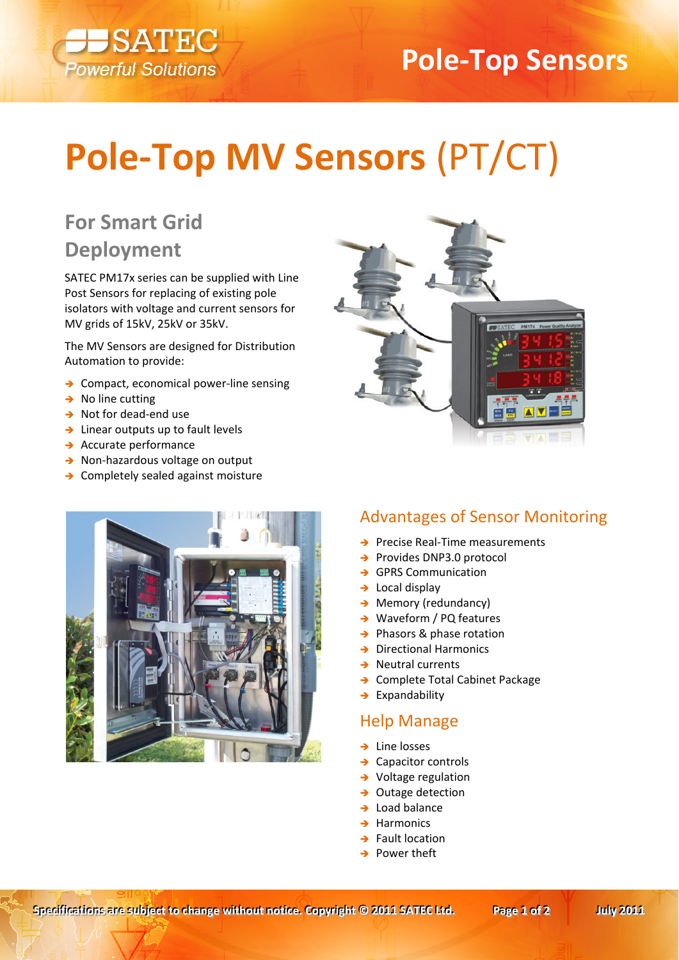

# **Pole-Top Sensors**

# **Pole-Top MV Sensors (PT/CT)**

## **For Smart Grid Deployment**

SATEC PM17x series can be supplied with Line Post Sensors for replacing of existing pole isolators with voltage and current sensors for MV grids of 15kV, 25kV or 35kV.

The MV Sensors are designed for Distribution Automation to provide:

- $\rightarrow$  Compact, economical power-line sensing
- $\rightarrow$  No line cutting
- $\rightarrow$  Not for dead-end use
- $\rightarrow$  Linear outputs up to fault levels
- $\rightarrow$  Accurate performance
- > Non-hazardous voltage on output
- > Completely sealed against moisture





#### **Advantages of Sensor Monitoring**

- $\rightarrow$  Precise Real-Time measurements
- → Provides DNP3.0 protocol
- → GPRS Communication
- $\rightarrow$  Local display
- $\rightarrow$  Memory (redundancy)
- $\rightarrow$  Waveform / PQ features
- $\rightarrow$  Phasors & phase rotation
- $\rightarrow$  Directional Harmonics
- $\rightarrow$  Neutral currents
- > Complete Total Cabinet Package
- $\rightarrow$  Expandability

#### **Help Manage**

- $\rightarrow$  Line losses
- $\rightarrow$  Capacitor controls
- $\rightarrow$  Voltage regulation
- $\rightarrow$  Outage detection
- $\rightarrow$  Load halance
- $\rightarrow$  Harmonics
- $\rightarrow$  Fault location
- $\rightarrow$  Power theft